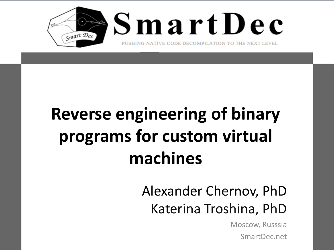

# **Reverse engineering of binary programs for custom virtual machines**

#### Alexander Chernov, PhD Katerina Troshina, PhD

Moscow, Russsia SmartDec.net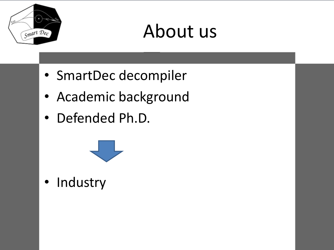

#### About us

- SmartDec decompiler
- Academic background
- Defended Ph.D.



• Industry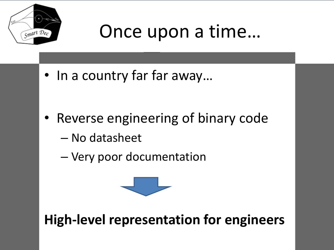

#### Once upon a time…

• In a country far far away…

- Reverse engineering of binary code
	- No datasheet
	- Very poor documentation



**High-level representation for engineers**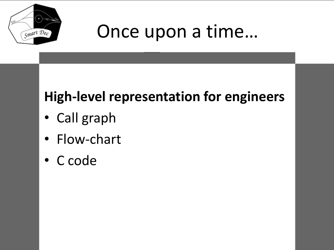

#### Once upon a time…

#### **High-level representation for engineers**

- Call graph
- Flow-chart
- C code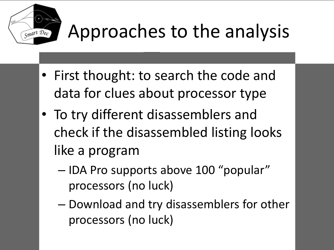

# Approaches to the analysis

- First thought: to search the code and data for clues about processor type
- To try different disassemblers and check if the disassembled listing looks like a program
	- IDA Pro supports above 100 "popular" processors (no luck)
	- Download and try disassemblers for other processors (no luck)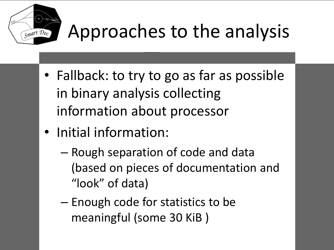

# Approaches to the analysis

- Fallback: to try to go as far as possible in binary analysis collecting information about processor
- Initial information:
	- Rough separation of code and data (based on pieces of documentation and "look" of data)
	- Enough code for statistics to be meaningful (some 30 KiB )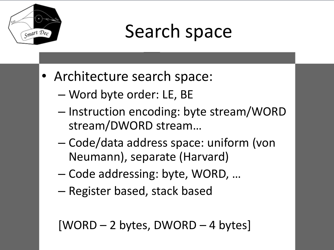

## Search space

- Architecture search space:
	- Word byte order: LE, BE
	- Instruction encoding: byte stream/WORD stream/DWORD stream…
	- Code/data address space: uniform (von Neumann), separate (Harvard)
	- Code addressing: byte, WORD, …
	- Register based, stack based

```
[WORD – 2 bytes, DWORD – 4 bytes]
```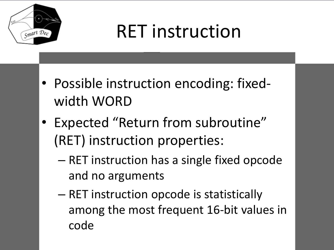

# RET instruction

- Possible instruction encoding: fixedwidth WORD
- Expected "Return from subroutine" (RET) instruction properties:
	- RET instruction has a single fixed opcode and no arguments
	- RET instruction opcode is statistically among the most frequent 16-bit values in code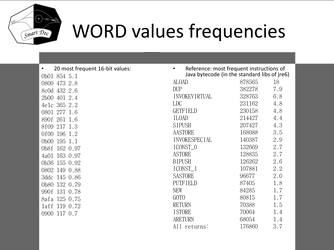

#### WORD values frequencies

| 20 most frequent 16-bit values: |
|---------------------------------|
| 0b01 854 5.1                    |
| 0800 473 2.8                    |
| 8c0d 432 2.6                    |
| 2b00 401 2.4                    |
| 4e1c 365 2.2                    |
| 0801 277 1.6                    |
| 890f 261 1.6                    |
| 8f09 217 1.3                    |
| 0f00 196 1.2                    |
| 0b00 195 1.1                    |
| 0b8f 162 0.97                   |
| 4a01 163 0.97                   |
| 0b36 155 0.92                   |
| 0802 149 0.88                   |
|                                 |
| 0b80 132 0.79                   |
| 990f 131 0.78                   |
| 8afa 125 0.75                   |
| laff 119<br>0.72                |
| 117 0.7<br>0900                 |
|                                 |

| Reference: most frequent instructions of<br>Java bytecode (in the standard libs of jre6) |        |     |
|------------------------------------------------------------------------------------------|--------|-----|
| ALOAD                                                                                    | 878565 | 18  |
| DUP                                                                                      | 382278 | 7.9 |
| <b>INVOKEVIRTUAL</b>                                                                     | 328763 | 6.8 |
| LDC                                                                                      | 231162 | 4.8 |
| <b>GETFIELD</b>                                                                          | 230158 | 4.8 |
| <b>ILOAD</b>                                                                             | 214427 | 4.4 |
| <b>SIPUSH</b>                                                                            | 207427 | 4.3 |
| AASTORE                                                                                  | 168088 | 3.5 |
| <b>INVOKESPECIAL</b>                                                                     | 140387 | 2.9 |
| ICONST_0                                                                                 | 132669 | 2.7 |
| <b>ASTORE</b>                                                                            | 128835 | 2.7 |
| <b>BIPUSH</b>                                                                            | 126262 | 2.6 |
| ICONST_1                                                                                 | 107881 | 2.2 |
| <b>SASTORE</b>                                                                           | 96677  | 2.0 |
| <b>PUTFIELD</b>                                                                          | 87405  | 1.8 |
| NEW                                                                                      | 84285  | 1.7 |
| GOTO                                                                                     | 80815  | 1.7 |
| <b>RETURN</b>                                                                            | 70388  | 1.5 |
| <b>ISTORE</b>                                                                            | 70064  | 1.4 |
| <b>ARETURN</b>                                                                           | 68054  | 1.4 |
| All returns:                                                                             | 176860 | 3.7 |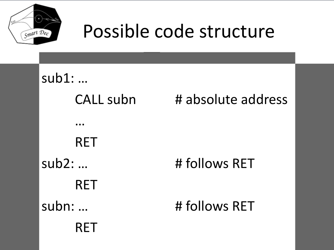

#### Possible code structure

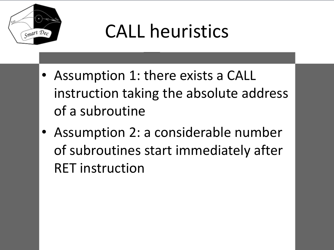

# CALL heuristics

- Assumption 1: there exists a CALL instruction taking the absolute address of a subroutine
- Assumption 2: a considerable number of subroutines start immediately after RET instruction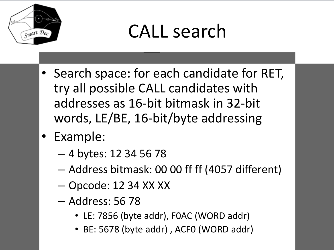

#### CALL search

- Search space: for each candidate for RET, try all possible CALL candidates with addresses as 16-bit bitmask in 32-bit words, LE/BE, 16-bit/byte addressing
- Example:
	- 4 bytes: 12 34 56 78
	- Address bitmask: 00 00 ff ff (4057 different)
	- Opcode: 12 34 XX XX
	- Address: 56 78
		- LE: 7856 (byte addr), F0AC (WORD addr)
		- BE: 5678 (byte addr) , ACF0 (WORD addr)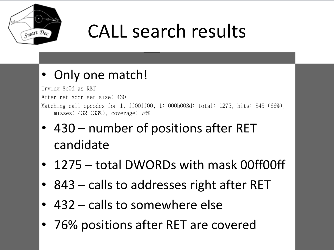

# CALL search results

#### Only one match!

Trying 8c0d as RET After-ret-addr-set-size: 430 Matching call opcodes for 1, ff00ff00, 1: 000b003d: total: 1275, hits: 843 (66%), misses: 432 (33%), coverage: 76%

- 430 number of positions after RET candidate
- 1275 total DWORDs with mask 00ff00ff
- 843 calls to addresses right after RET
- 432 calls to somewhere else
- 76% positions after RET are covered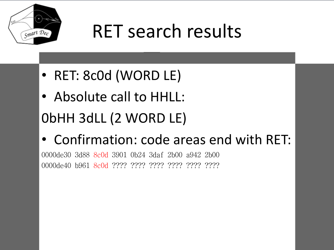

# RET search results

- RET: 8c0d (WORD LE)
- Absolute call to HHLL: 0bHH 3dLL (2 WORD LE)
- Confirmation: code areas end with RET:

0000de30 3d88 8c0d 3901 0b24 3daf 2b00 a942 2b00 0000de40 b961 8c0d ???? ???? ???? ???? ???? ????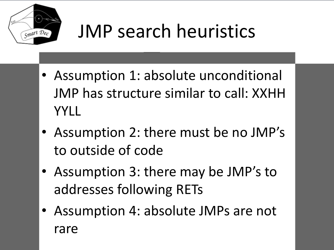

# JMP search heuristics

- Assumption 1: absolute unconditional JMP has structure similar to call: XXHH YYLL
- Assumption 2: there must be no JMP's to outside of code
- Assumption 3: there may be JMP's to addresses following RETs
- Assumption 4: absolute JMPs are not rare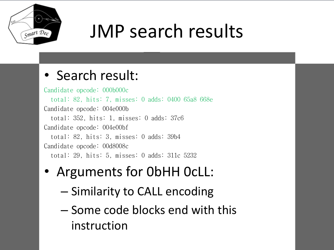

# JMP search results

#### • Search result:

Candidate opcode: 000b000c total: 82, hits: 7, misses: 0 adds: 0400 65a8 668e Candidate opcode: 004e000b total: 352, hits: 1, misses: 0 adds: 37c6 Candidate opcode: 004e00bf total: 82, hits: 3, misses: 0 adds: 39b4 Candidate opcode: 00d8008c total: 29, hits: 5, misses: 0 adds: 311c 5232

#### • Arguments for 0bHH 0cLL:

- Similarity to CALL encoding
- Some code blocks end with this instruction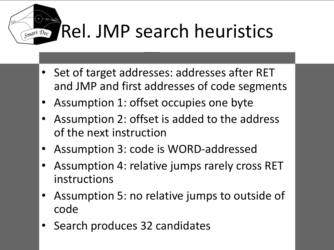# Rel. JMP search heuristics

- Set of target addresses: addresses after RET and JMP and first addresses of code segments
- Assumption 1: offset occupies one byte

Smart Dec

- Assumption 2: offset is added to the address of the next instruction
- Assumption 3: code is WORD-addressed
- Assumption 4: relative jumps rarely cross RET instructions
- Assumption 5: no relative jumps to outside of code
- Search produces 32 candidates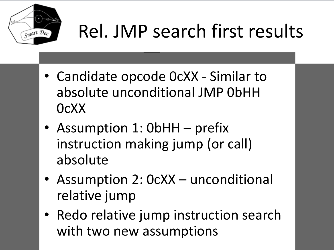

# Rel. JMP search first results

- Candidate opcode 0cXX Similar to absolute unconditional JMP 0bHH 0cXX
- Assumption 1: 0bHH prefix instruction making jump (or call) absolute
- Assumption 2: 0cXX unconditional relative jump
- Redo relative jump instruction search with two new assumptions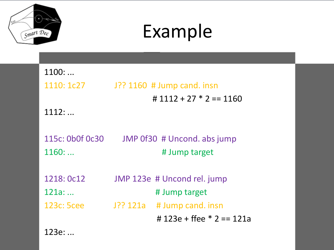

## Example

| 1100:           |                               |
|-----------------|-------------------------------|
| 1110: 1c27      | J?? 1160 # Jump cand. insn    |
|                 | # $1112 + 27 * 2 == 1160$     |
| 1112:           |                               |
|                 |                               |
| 115c: 0b0f 0c30 | JMP 0f30 # Uncond. abs jump   |
| 1160:           | # Jump target                 |
|                 |                               |
| 1218: 0c12      | JMP 123e # Uncond rel. jump   |
| 121a:           | # Jump target                 |
| 123c: 5cee      | $J$ ?? 121a # Jump cand. insn |
|                 | # 123e + ffee $*$ 2 = 121a    |
|                 |                               |

123e: ...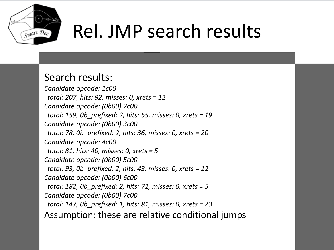

# Rel. JMP search results

#### Search results:

*Candidate opcode: 1c00 total: 207, hits: 92, misses: 0, xrets = 12 Candidate opcode: (0b00) 2c00 total: 159, 0b\_prefixed: 2, hits: 55, misses: 0, xrets = 19 Candidate opcode: (0b00) 3c00 total: 78, 0b\_prefixed: 2, hits: 36, misses: 0, xrets = 20 Candidate opcode: 4c00 total: 81, hits: 40, misses: 0, xrets = 5 Candidate opcode: (0b00) 5c00 total: 93, 0b\_prefixed: 2, hits: 43, misses: 0, xrets = 12 Candidate opcode: (0b00) 6c00 total: 182, 0b\_prefixed: 2, hits: 72, misses: 0, xrets = 5 Candidate opcode: (0b00) 7c00 total: 147, 0b\_prefixed: 1, hits: 81, misses: 0, xrets = 23* Assumption: these are relative conditional jumps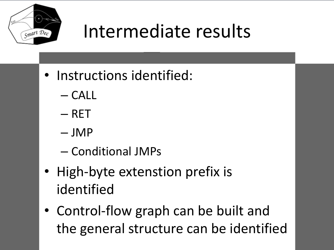

# Intermediate results

- Instructions identified:
	- CALL
	- RET
	- JMP
	- Conditional JMPs
- High-byte extenstion prefix is identified
- Control-flow graph can be built and the general structure can be identified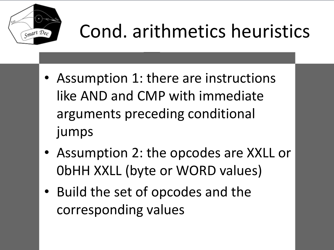

# Cond. arithmetics heuristics

- Assumption 1: there are instructions like AND and CMP with immediate arguments preceding conditional jumps
- Assumption 2: the opcodes are XXLL or 0bHH XXLL (byte or WORD values)
- Build the set of opcodes and the corresponding values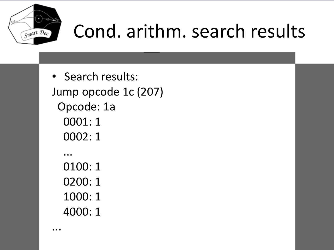

...

# Cond. arithm. search results

• Search results: Jump opcode 1c (207) Opcode: 1a 0001: 1 0002: 1 ... 0100: 1 0200: 1 1000: 1 4000: 1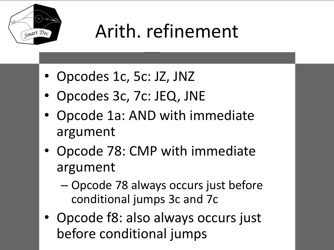

# Arith. refinement

- Opcodes 1c, 5c: JZ, JNZ
- Opcodes 3c, 7c: JEQ, JNE
- Opcode 1a: AND with immediate argument
- Opcode 78: CMP with immediate argument
	- Opcode 78 always occurs just before conditional jumps 3c and 7c
- Opcode f8: also always occurs just before conditional jumps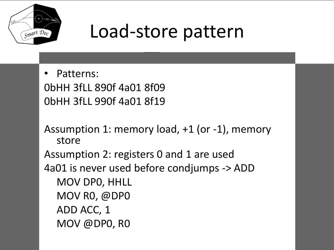

#### Load-store pattern

• Patterns: 0bHH 3fLL 890f 4a01 8f09 0bHH 3fLL 990f 4a01 8f19

Assumption 1: memory load, +1 (or -1), memory store Assumption 2: registers 0 and 1 are used 4a01 is never used before condjumps -> ADD MOV DP0, HHLL MOV R0, @DP0 ADD ACC, 1 MOV @DP0, R0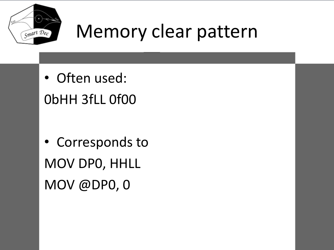

## Memory clear pattern

• Often used: 0bHH 3fLL 0f00

• Corresponds to MOV DP0, HHLL MOV @DP0, 0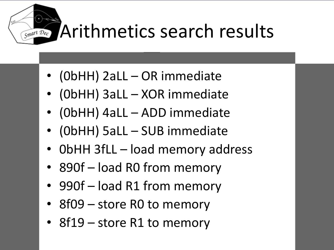Arithmetics search results

• (0bHH) 2aLL – OR immediate

Smart Dec

- (0bHH) 3aLL XOR immediate
- (0bHH) 4aLL ADD immediate
- (0bHH) 5aLL SUB immediate
- 0bHH 3fLL load memory address
- 890f load R0 from memory
- 990f load R1 from memory
- 8f09 store R0 to memory
- 8f19 store R1 to memory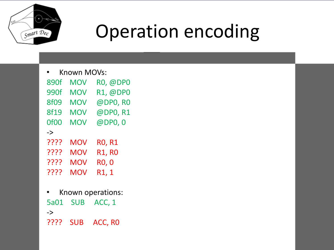

# Operation encoding

• Known MOVs:

| 890f             | <b>MOV</b> | <b>RO, @DPO</b> |
|------------------|------------|-----------------|
| 990f             | <b>MOV</b> | R1, @DP0        |
| <b>8f09</b>      | <b>MOV</b> | @DP0, R0        |
| <b>8f19</b>      | <b>MOV</b> | @DP0, R1        |
| Of <sub>00</sub> | <b>MOV</b> | @DP0, 0         |
| $\rightarrow$    |            |                 |
| ????             | <b>MOV</b> | <b>RO, R1</b>   |
| ????             | <b>MOV</b> | <b>R1, R0</b>   |
| ????             | <b>MOV</b> | <b>RO, O</b>    |
| ????             | <b>MOV</b> | R1, 1           |

• Known operations: 5a01 SUB ACC, 1 -> ???? SUB ACC, R0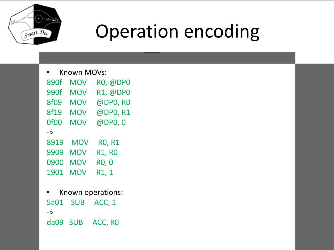

# Operation encoding

• Known MOVs:

| 890f             | <b>MOV</b> | RO, @DPO           |
|------------------|------------|--------------------|
| 990f             | <b>MOV</b> | R1, @DP0           |
| <b>8f09</b>      | <b>MOV</b> | @DP0, RO           |
| <b>8f19</b>      | <b>MOV</b> | @DP0, R1           |
| Of <sub>00</sub> | <b>MOV</b> | @DP0, 0            |
| $\rightarrow$    |            |                    |
| 8919             | <b>MOV</b> | <b>RO, R1</b>      |
| 9909             | <b>MOV</b> | <b>R1, R0</b>      |
| 0900             | <b>MOV</b> | <b>RO, O</b>       |
| 1901             | <b>MOV</b> | R <sub>1</sub> , 1 |

• Known operations: 5a01 SUB ACC, 1 -> da09 SUB ACC, R0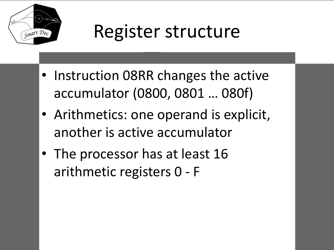

#### Register structure

- Instruction 08RR changes the active accumulator (0800, 0801 … 080f)
- Arithmetics: one operand is explicit, another is active accumulator
- The processor has at least 16 arithmetic registers 0 - F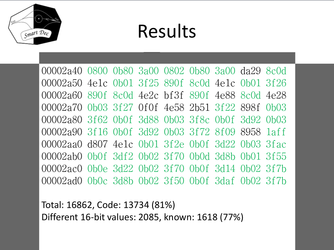

#### Results

00002a40 0800 0b80 3a00 0802 0b80 3a00 da29 8c0d 00002a50 4e1c 0b01 3f25 890f 8c0d 4e1c 0b01 3f26 00002a60 890f 8c0d 4e2c bf3f 890f 4e88 8c0d 4e28 00002a70 0b03 3f27 0f0f 4e58 2b51 3f22 898f 0b03 00002a80 3f62 0b0f 3d88 0b03 3f8c 0b0f 3d92 0b03 00002a90 3f16 0b0f 3d92 0b03 3f72 8f09 8958 1aff 00002aa0 d807 4e1c 0b01 3f2e 0b0f 3d22 0b03 3fac 00002ab0 0b0f 3df2 0b02 3f70 0b0d 3d8b 0b01 3f55 00002ac0 0b0e 3d22 0b02 3f70 0b0f 3d14 0b02 3f7b 00002ad0 0b0c 3d8b 0b02 3f50 0b0f 3daf 0b02 3f7b

Total: 16862, Code: 13734 (81%) Different 16-bit values: 2085, known: 1618 (77%)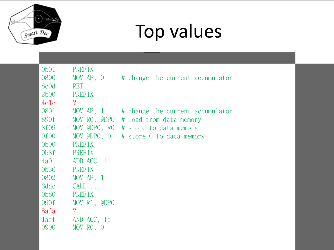

# Top values

| 0 <sub>b01</sub>  | <b>PREFIX</b>  |                                      |
|-------------------|----------------|--------------------------------------|
| 0800              | MOV AP, 0      | # change the current accumulator     |
| 8c0d              | <b>RET</b>     |                                      |
| 2b00              | <b>PREFIX</b>  |                                      |
| 4e1c              | $\overline{?}$ |                                      |
| 0801              | MOV AP, 1      | # change the current accumulator     |
| 890f              | MOV RO, @DPO   | # load from data memory              |
| 8f09              |                | MOV @DPO, RO # store to data memory  |
| 0f00              |                | MOV @DPO, 0 # store 0 to data memory |
| 0 <sub>b00</sub>  | <b>PREFIX</b>  |                                      |
| 0 <sub>b</sub> 8f | <b>PREFIX</b>  |                                      |
| 4a01              | ADD ACC, 1     |                                      |
| 0b36              | <b>PREFIX</b>  |                                      |
| 0802              | MOV $AP, 1$    |                                      |
| 3ddc              | $CALL$         |                                      |
| 0b80              | <b>PREFIX</b>  |                                      |
| 990f              | MOV R1, @DPO   |                                      |
| 8afa              | $\overline{?}$ |                                      |
| laff              | AND ACC, ff    |                                      |
| 0900              | MOV RO, O      |                                      |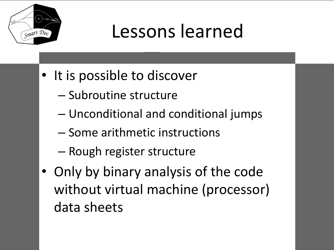

## Lessons learned

- It is possible to discover
	- Subroutine structure
	- Unconditional and conditional jumps
	- Some arithmetic instructions
	- Rough register structure
- Only by binary analysis of the code without virtual machine (processor) data sheets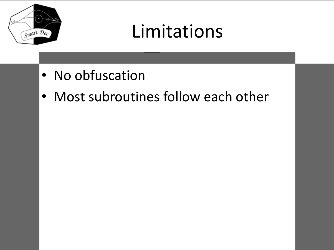

# Limitations

- No obfuscation
- Most subroutines follow each other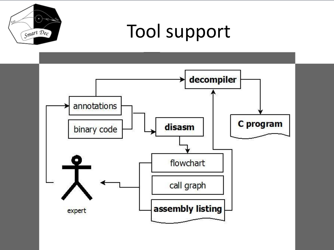

#### Tool support

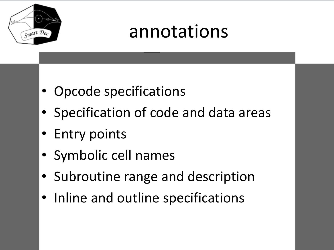

## annotations

- Opcode specifications
- Specification of code and data areas
- Entry points
- Symbolic cell names
- Subroutine range and description
- Inline and outline specifications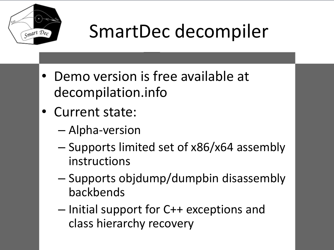

# SmartDec decompiler

- Demo version is free available at decompilation.info
- Current state:
	- Alpha-version
	- Supports limited set of x86/x64 assembly instructions
	- Supports objdump/dumpbin disassembly backbends
	- Initial support for C++ exceptions and class hierarchy recovery